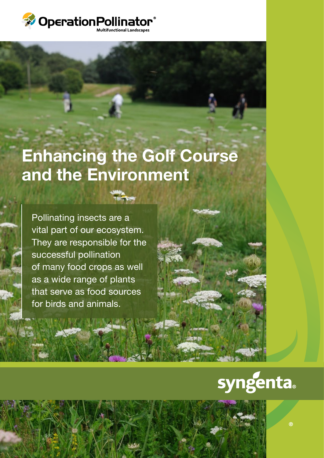

Operation pollinator banner.indd 1 11/09/2012 15:13

# Enhancing the Golf Course and the Environment

Pollinating insects are a vital part of our ecosystem. They are responsible for the successful pollination of many food crops as well as a wide range of plants that serve as food sources for birds and animals.

# syngenta

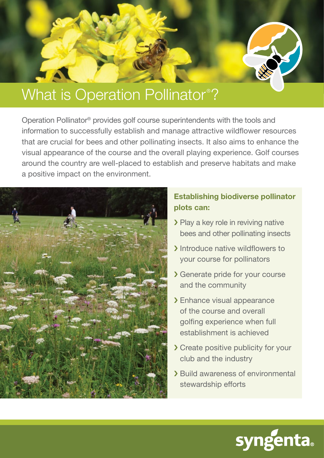

#### What is Operation Pollinator® ?

Operation Pollinator® provides golf course superintendents with the tools and information to successfully establish and manage attractive wildflower resources that are crucial for bees and other pollinating insects. It also aims to enhance the visual appearance of the course and the overall playing experience. Golf courses around the country are well-placed to establish and preserve habitats and make a positive impact on the environment.



#### Establishing biodiverse pollinator plots can:

- › Play a key role in reviving native bees and other pollinating insects
- › Introduce native wildflowers to your course for pollinators
- › Generate pride for your course and the community
- › Enhance visual appearance of the course and overall golfing experience when full establishment is achieved
- › Create positive publicity for your club and the industry
- › Build awareness of environmental stewardship efforts

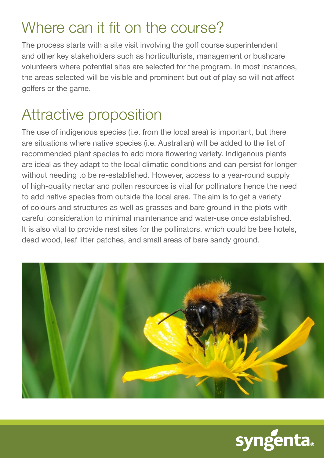### Where can it fit on the course?

The process starts with a site visit involving the golf course superintendent and other key stakeholders such as horticulturists, management or bushcare volunteers where potential sites are selected for the program. In most instances, the areas selected will be visible and prominent but out of play so will not affect golfers or the game.

# Attractive proposition

The use of indigenous species (i.e. from the local area) is important, but there are situations where native species (i.e. Australian) will be added to the list of recommended plant species to add more flowering variety. Indigenous plants are ideal as they adapt to the local climatic conditions and can persist for longer without needing to be re-established. However, access to a year-round supply of high-quality nectar and pollen resources is vital for pollinators hence the need to add native species from outside the local area. The aim is to get a variety of colours and structures as well as grasses and bare ground in the plots with careful consideration to minimal maintenance and water-use once established. It is also vital to provide nest sites for the pollinators, which could be bee hotels, dead wood, leaf litter patches, and small areas of bare sandy ground.